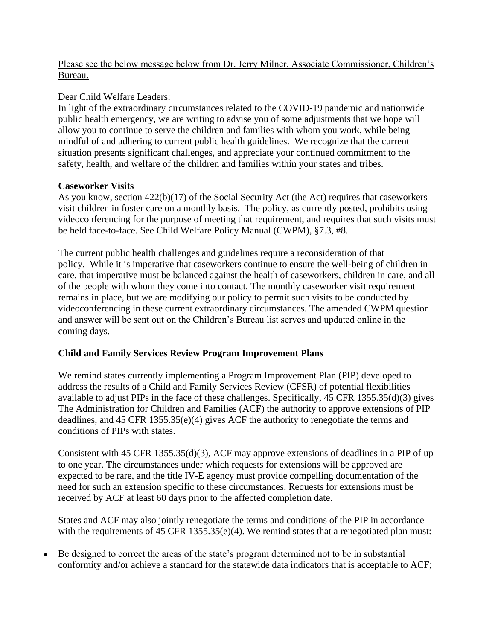Please see the below message below from Dr. Jerry Milner, Associate Commissioner, Children's Bureau.

### Dear Child Welfare Leaders:

In light of the extraordinary circumstances related to the COVID-19 pandemic and nationwide public health emergency, we are writing to advise you of some adjustments that we hope will allow you to continue to serve the children and families with whom you work, while being mindful of and adhering to current public health guidelines. We recognize that the current situation presents significant challenges, and appreciate your continued commitment to the safety, health, and welfare of the children and families within your states and tribes.

## **Caseworker Visits**

As you know, section 422(b)(17) of the Social Security Act (the Act) requires that caseworkers visit children in foster care on a monthly basis. The policy, as currently posted, prohibits using videoconferencing for the purpose of meeting that requirement, and requires that such visits must be held face-to-face. See Child Welfare Policy Manual (CWPM), §7.3, #8.

The current public health challenges and guidelines require a reconsideration of that policy. While it is imperative that caseworkers continue to ensure the well-being of children in care, that imperative must be balanced against the health of caseworkers, children in care, and all of the people with whom they come into contact. The monthly caseworker visit requirement remains in place, but we are modifying our policy to permit such visits to be conducted by videoconferencing in these current extraordinary circumstances. The amended CWPM question and answer will be sent out on the Children's Bureau list serves and updated online in the coming days.

# **Child and Family Services Review Program Improvement Plans**

We remind states currently implementing a Program Improvement Plan (PIP) developed to address the results of a Child and Family Services Review (CFSR) of potential flexibilities available to adjust PIPs in the face of these challenges. Specifically, 45 CFR 1355.35(d)(3) gives The Administration for Children and Families (ACF) the authority to approve extensions of PIP deadlines, and 45 CFR 1355.35(e)(4) gives ACF the authority to renegotiate the terms and conditions of PIPs with states.

Consistent with 45 CFR 1355.35(d)(3), ACF may approve extensions of deadlines in a PIP of up to one year. The circumstances under which requests for extensions will be approved are expected to be rare, and the title IV-E agency must provide compelling documentation of the need for such an extension specific to these circumstances. Requests for extensions must be received by ACF at least 60 days prior to the affected completion date.

States and ACF may also jointly renegotiate the terms and conditions of the PIP in accordance with the requirements of 45 CFR 1355.35(e)(4). We remind states that a renegotiated plan must:

• Be designed to correct the areas of the state's program determined not to be in substantial conformity and/or achieve a standard for the statewide data indicators that is acceptable to ACF;